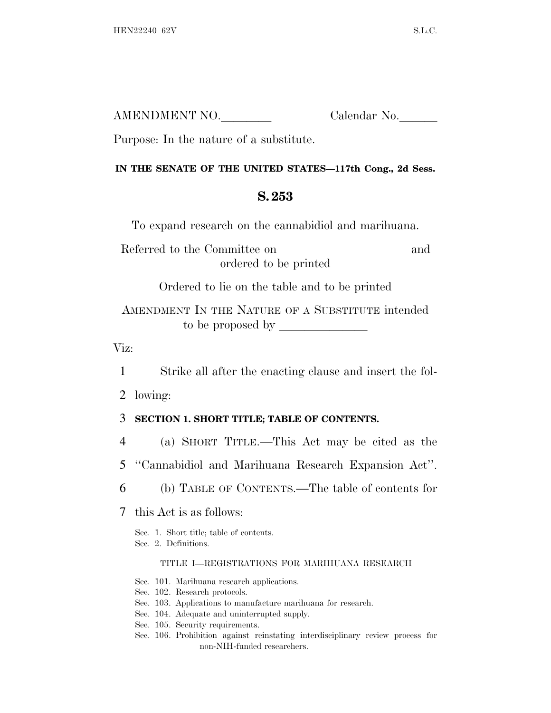| AMENDMENT NO. | Calendar No. |
|---------------|--------------|
|               |              |

Purpose: In the nature of a substitute.

#### **IN THE SENATE OF THE UNITED STATES—117th Cong., 2d Sess.**

# **S. 253**

To expand research on the cannabidiol and marihuana.

Referred to the Committee on and ordered to be printed

Ordered to lie on the table and to be printed

AMENDMENT IN THE NATURE OF A SUBSTITUTE intended to be proposed by lllllll

Viz:

1 Strike all after the enacting clause and insert the fol-

2 lowing:

### 3 **SECTION 1. SHORT TITLE; TABLE OF CONTENTS.**

- 4 (a) SHORT TITLE.—This Act may be cited as the
- 5 ''Cannabidiol and Marihuana Research Expansion Act''.
- 6 (b) TABLE OF CONTENTS.—The table of contents for
- 7 this Act is as follows:

Sec. 1. Short title; table of contents.

Sec. 2. Definitions.

#### TITLE I—REGISTRATIONS FOR MARIHUANA RESEARCH

Sec. 101. Marihuana research applications.

Sec. 102. Research protocols.

- Sec. 103. Applications to manufacture marihuana for research.
- Sec. 104. Adequate and uninterrupted supply.

Sec. 105. Security requirements.

Sec. 106. Prohibition against reinstating interdisciplinary review process for non-NIH-funded researchers.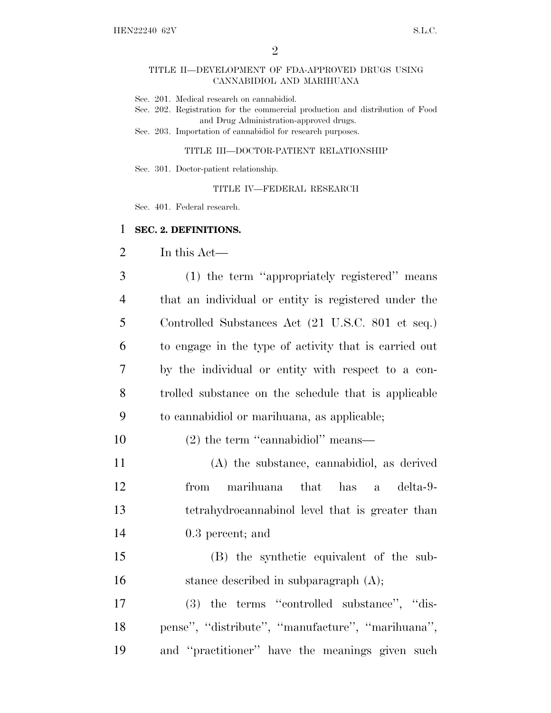#### TITLE II—DEVELOPMENT OF FDA-APPROVED DRUGS USING CANNABIDIOL AND MARIHUANA

- Sec. 201. Medical research on cannabidiol.
- Sec. 202. Registration for the commercial production and distribution of Food and Drug Administration-approved drugs.
- Sec. 203. Importation of cannabidiol for research purposes.

#### TITLE III—DOCTOR-PATIENT RELATIONSHIP

Sec. 301. Doctor-patient relationship.

TITLE IV—FEDERAL RESEARCH

Sec. 401. Federal research.

#### 1 **SEC. 2. DEFINITIONS.**

2 In this Act—

 (1) the term ''appropriately registered'' means that an individual or entity is registered under the Controlled Substances Act (21 U.S.C. 801 et seq.) to engage in the type of activity that is carried out by the individual or entity with respect to a con- trolled substance on the schedule that is applicable to cannabidiol or marihuana, as applicable;

10 (2) the term "cannabidiol" means—

 (A) the substance, cannabidiol, as derived from marihuana that has a delta-9- tetrahydrocannabinol level that is greater than 0.3 percent; and

15 (B) the synthetic equivalent of the sub-16 stance described in subparagraph (A);

17 (3) the terms ''controlled substance'', ''dis-18 pense'', ''distribute'', ''manufacture'', ''marihuana'', 19 and ''practitioner'' have the meanings given such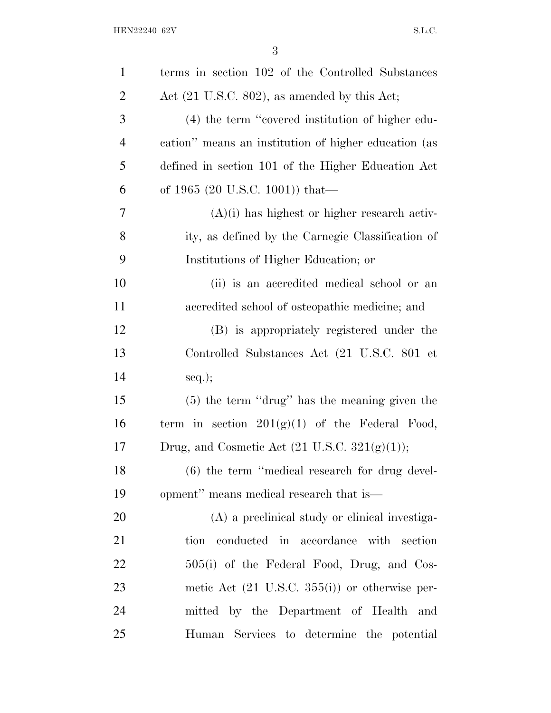| $\mathbf{1}$   | terms in section 102 of the Controlled Substances         |
|----------------|-----------------------------------------------------------|
| $\overline{c}$ | Act $(21 \text{ U.S.C. } 802)$ , as amended by this Act;  |
| 3              | (4) the term "covered institution of higher edu-          |
| $\overline{4}$ | cation" means an institution of higher education (as      |
| 5              | defined in section 101 of the Higher Education Act        |
| 6              | of 1965 (20 U.S.C. 1001)) that—                           |
| 7              | $(A)(i)$ has highest or higher research activ-            |
| 8              | ity, as defined by the Carnegie Classification of         |
| 9              | Institutions of Higher Education; or                      |
| 10             | (ii) is an accredited medical school or an                |
| 11             | accredited school of osteopathic medicine; and            |
| 12             | (B) is appropriately registered under the                 |
| 13             | Controlled Substances Act (21 U.S.C. 801 et               |
| 14             | $seq.$ ;                                                  |
| 15             | $(5)$ the term "drug" has the meaning given the           |
| 16             | term in section $201(g)(1)$ of the Federal Food,          |
| 17             | Drug, and Cosmetic Act $(21 \text{ U.S.C. } 321(g)(1));$  |
| 18             | $(6)$ the term "medical research for drug devel-          |
| 19             | opment" means medical research that is—                   |
| 20             | (A) a preclinical study or clinical investiga-            |
| 21             | tion conducted in accordance with section                 |
| 22             | 505(i) of the Federal Food, Drug, and Cos-                |
| 23             | metic Act $(21 \text{ U.S.C. } 355(i))$ or otherwise per- |
| 24             | mitted by the Department of Health and                    |
| 25             | Human Services to determine the potential                 |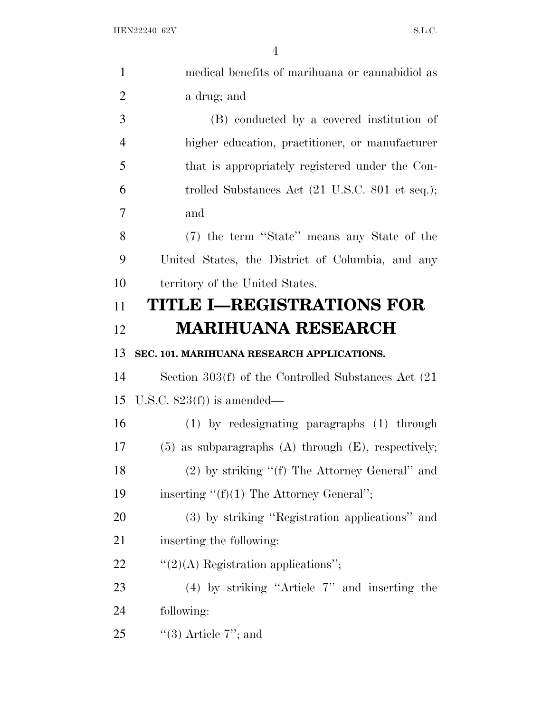| $\mathbf{1}$   | medical benefits of marihuana or cannabidiol as                    |
|----------------|--------------------------------------------------------------------|
| $\overline{2}$ | a drug; and                                                        |
| 3              | (B) conducted by a covered institution of                          |
| $\overline{4}$ | higher education, practitioner, or manufacturer                    |
| 5              | that is appropriately registered under the Con-                    |
| 6              | trolled Substances Act $(21 \text{ U.S.C. } 801 \text{ et seq.});$ |
| 7              | and                                                                |
| 8              | (7) the term "State" means any State of the                        |
| 9              | United States, the District of Columbia, and any                   |
| 10             | territory of the United States.                                    |
| 11             | TITLE I-REGISTRATIONS FOR                                          |
| 12             | <b>MARIHUANA RESEARCH</b>                                          |
| 13             | SEC. 101. MARIHUANA RESEARCH APPLICATIONS.                         |
| 14             | Section $303(f)$ of the Controlled Substances Act $(21)$           |
| 15             | U.S.C. $823(f)$ is amended—                                        |
| 16             | $(1)$ by redesignating paragraphs $(1)$ through                    |
| 17             | $(5)$ as subparagraphs $(A)$ through $(E)$ , respectively;         |
| 18             | $(2)$ by striking "(f) The Attorney General" and                   |
| 19             | inserting $"({\bf f})(1)$ The Attorney General";                   |
| 20             | (3) by striking "Registration applications" and                    |
| 21             | inserting the following:                                           |
| 22             | $\lq(2)(A)$ Registration applications";                            |
| 23             | $(4)$ by striking "Article 7" and inserting the                    |
| 24             | following:                                                         |
| 25             | "(3) Article $7$ "; and                                            |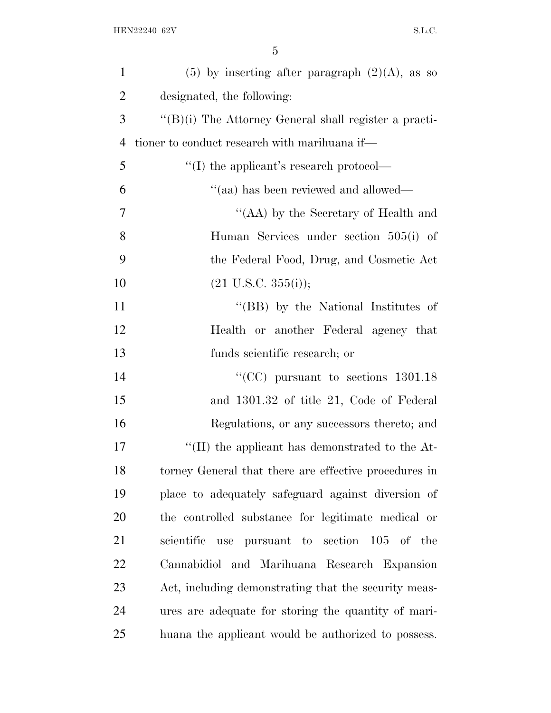| $\mathbf{1}$   | $(5)$ by inserting after paragraph $(2)(A)$ , as so   |
|----------------|-------------------------------------------------------|
| $\overline{2}$ | designated, the following:                            |
| 3              | "(B)(i) The Attorney General shall register a practi- |
| 4              | tioner to conduct research with marihuana if—         |
| 5              | $\lq\lq$ the applicant's research protocol—           |
| 6              | "(aa) has been reviewed and allowed—                  |
| 7              | "(AA) by the Secretary of Health and                  |
| 8              | Human Services under section 505(i) of                |
| 9              | the Federal Food, Drug, and Cosmetic Act              |
| 10             | $(21 \text{ U.S.C. } 355(i));$                        |
| 11             | "(BB) by the National Institutes of                   |
| 12             | Health or another Federal agency that                 |
| 13             | funds scientific research; or                         |
| 14             | "(CC) pursuant to sections $1301.18$                  |
| 15             | and 1301.32 of title 21, Code of Federal              |
| 16             | Regulations, or any successors thereto; and           |
| 17             | "(II) the applicant has demonstrated to the $At$ -    |
| 18             | torney General that there are effective procedures in |
| 19             | place to adequately safeguard against diversion of    |
| 20             | the controlled substance for legitimate medical or    |
| 21             | scientific use<br>pursuant to<br>section 105 of the   |
| 22             | Cannabidiol and Marihuana Research Expansion          |
| 23             | Act, including demonstrating that the security meas-  |
| 24             | ures are adequate for storing the quantity of mari-   |
| 25             | huana the applicant would be authorized to possess.   |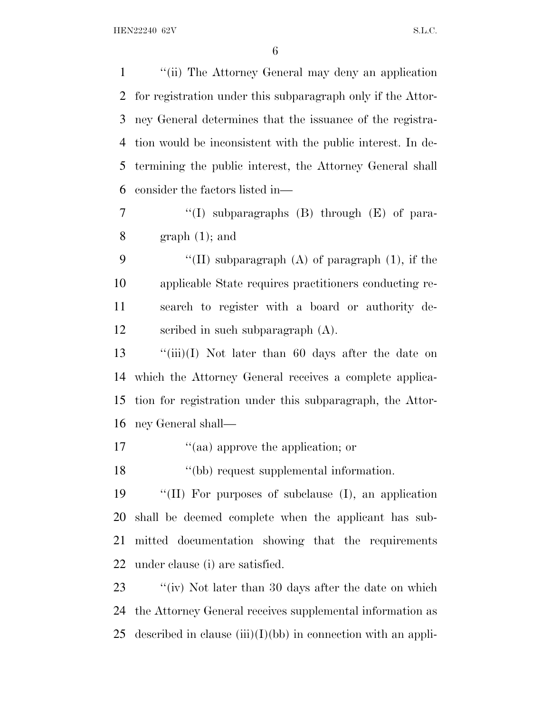''(ii) The Attorney General may deny an application for registration under this subparagraph only if the Attor- ney General determines that the issuance of the registra- tion would be inconsistent with the public interest. In de- termining the public interest, the Attorney General shall consider the factors listed in— 7 "(I) subparagraphs (B) through (E) of para-8 graph  $(1)$ ; and  $\langle (II)$  subparagraph (A) of paragraph (1), if the

 applicable State requires practitioners conducting re- search to register with a board or authority de-scribed in such subparagraph (A).

 ''(iii)(I) Not later than 60 days after the date on which the Attorney General receives a complete applica- tion for registration under this subparagraph, the Attor-ney General shall—

17  $\frac{1}{2}$  (aa) approve the application; or

''(bb) request supplemental information.

 ''(II) For purposes of subclause (I), an application shall be deemed complete when the applicant has sub- mitted documentation showing that the requirements under clause (i) are satisfied.

23 ''(iv) Not later than 30 days after the date on which the Attorney General receives supplemental information as 25 described in clause  $(iii)(I)(bb)$  in connection with an appli-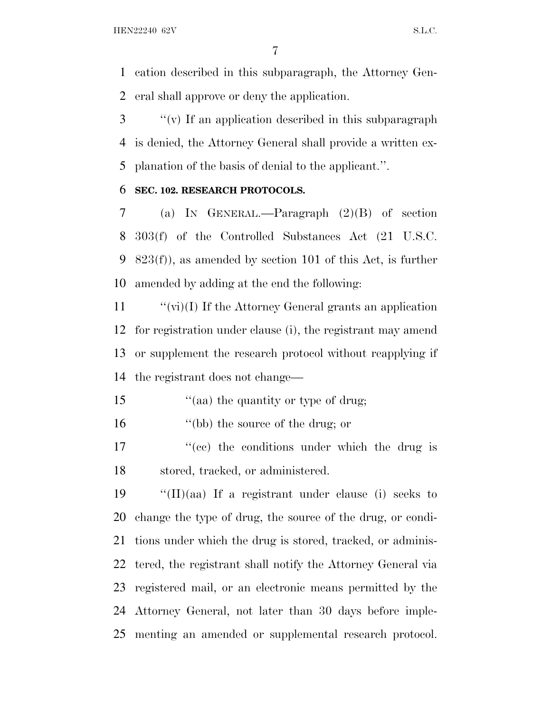cation described in this subparagraph, the Attorney Gen-eral shall approve or deny the application.

 ''(v) If an application described in this subparagraph is denied, the Attorney General shall provide a written ex-planation of the basis of denial to the applicant.''.

#### **SEC. 102. RESEARCH PROTOCOLS.**

 (a) I<sup>N</sup> GENERAL.—Paragraph (2)(B) of section 303(f) of the Controlled Substances Act (21 U.S.C. 9 823(f)), as amended by section 101 of this Act, is further amended by adding at the end the following:

 $\langle \vec{v} \rangle$  (vi)(I) If the Attorney General grants an application for registration under clause (i), the registrant may amend or supplement the research protocol without reapplying if the registrant does not change—

15 "(aa) the quantity or type of drug;

''(bb) the source of the drug; or

17  $\frac{1}{2}$  (ce) the conditions under which the drug is stored, tracked, or administered.

 $\cdot$  "(II)(aa) If a registrant under clause (i) seeks to change the type of drug, the source of the drug, or condi- tions under which the drug is stored, tracked, or adminis- tered, the registrant shall notify the Attorney General via registered mail, or an electronic means permitted by the Attorney General, not later than 30 days before imple-menting an amended or supplemental research protocol.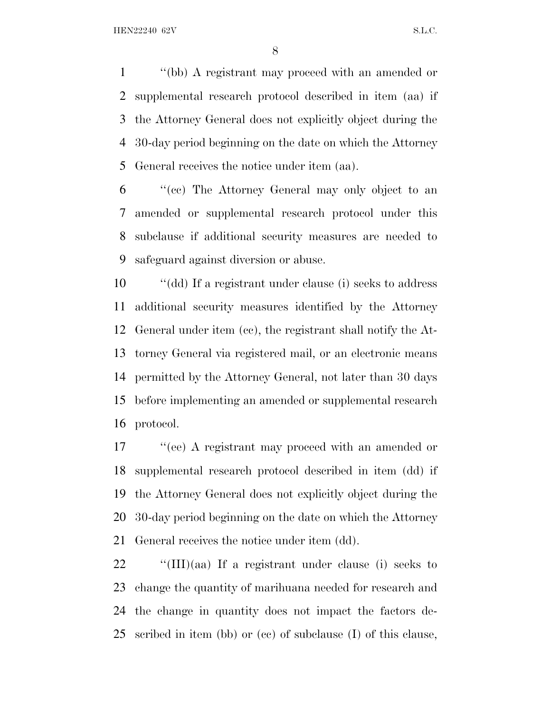''(bb) A registrant may proceed with an amended or supplemental research protocol described in item (aa) if the Attorney General does not explicitly object during the 30-day period beginning on the date on which the Attorney General receives the notice under item (aa).

 ''(cc) The Attorney General may only object to an amended or supplemental research protocol under this subclause if additional security measures are needed to safeguard against diversion or abuse.

 ''(dd) If a registrant under clause (i) seeks to address additional security measures identified by the Attorney General under item (cc), the registrant shall notify the At- torney General via registered mail, or an electronic means permitted by the Attorney General, not later than 30 days before implementing an amended or supplemental research protocol.

17 ''(ee) A registrant may proceed with an amended or supplemental research protocol described in item (dd) if the Attorney General does not explicitly object during the 30-day period beginning on the date on which the Attorney General receives the notice under item (dd).

 $\cdot$  "(III)(aa) If a registrant under clause (i) seeks to change the quantity of marihuana needed for research and the change in quantity does not impact the factors de-scribed in item (bb) or (cc) of subclause (I) of this clause,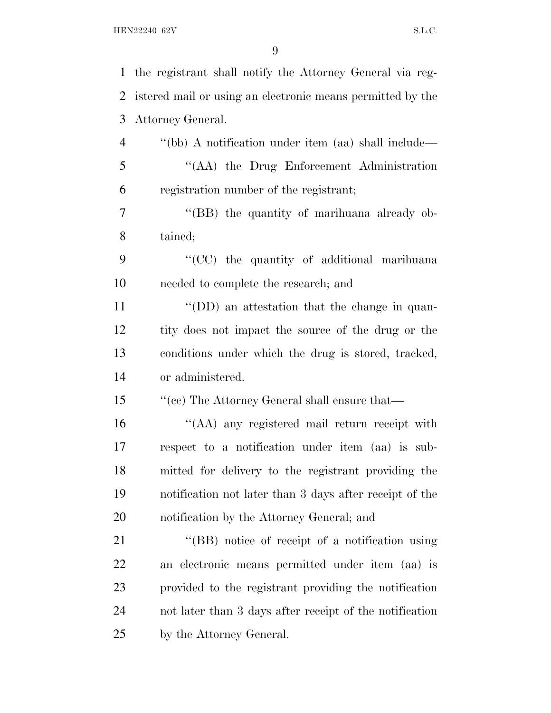| $\mathbf{1}$   | the registrant shall notify the Attorney General via reg-  |
|----------------|------------------------------------------------------------|
| 2              | istered mail or using an electronic means permitted by the |
| 3              | Attorney General.                                          |
| $\overline{4}$ | "(bb) A notification under item (aa) shall include—        |
| 5              | "(AA) the Drug Enforcement Administration                  |
| 6              | registration number of the registrant;                     |
| 7              | "(BB) the quantity of marihuana already ob-                |
| 8              | tained;                                                    |
| 9              | "(CC) the quantity of additional marihuana                 |
| 10             | needed to complete the research; and                       |
| 11             | $\lq\lq$ (DD) an attestation that the change in quan-      |
| 12             | tity does not impact the source of the drug or the         |
| 13             | conditions under which the drug is stored, tracked,        |
| 14             | or administered.                                           |
| 15             | "(cc) The Attorney General shall ensure that—              |
| 16             | "(AA) any registered mail return receipt with              |
| 17             | respect to a notification under item (aa) is sub-          |
| 18             | mitted for delivery to the registrant providing the        |
| 19             | notification not later than 3 days after receipt of the    |
| 20             | notification by the Attorney General; and                  |
| 21             | "(BB) notice of receipt of a notification using            |
| 22             | an electronic means permitted under item (aa) is           |
| 23             | provided to the registrant providing the notification      |
| 24             | not later than 3 days after receipt of the notification    |
| 25             | by the Attorney General.                                   |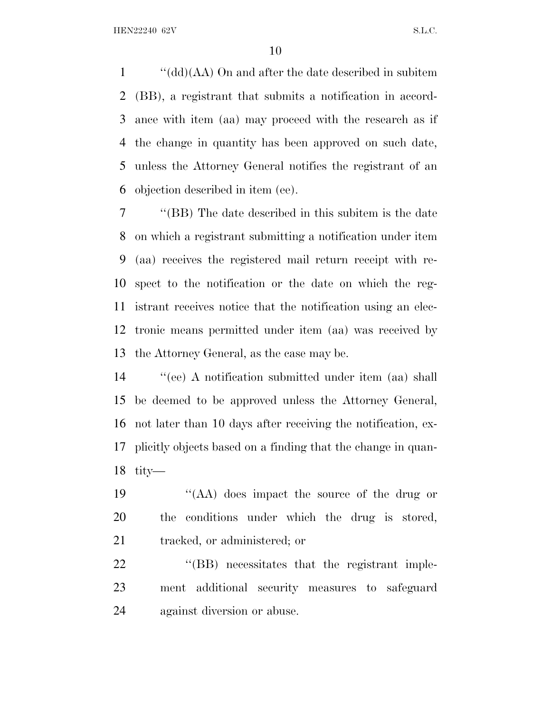''(dd)(AA) On and after the date described in subitem (BB), a registrant that submits a notification in accord- ance with item (aa) may proceed with the research as if the change in quantity has been approved on such date, unless the Attorney General notifies the registrant of an objection described in item (ee).

 ''(BB) The date described in this subitem is the date on which a registrant submitting a notification under item (aa) receives the registered mail return receipt with re- spect to the notification or the date on which the reg- istrant receives notice that the notification using an elec- tronic means permitted under item (aa) was received by the Attorney General, as the case may be.

 ''(ee) A notification submitted under item (aa) shall be deemed to be approved unless the Attorney General, not later than 10 days after receiving the notification, ex- plicitly objects based on a finding that the change in quan-tity—

 ''(AA) does impact the source of the drug or the conditions under which the drug is stored, tracked, or administered; or

22 "(BB) necessitates that the registrant imple- ment additional security measures to safeguard against diversion or abuse.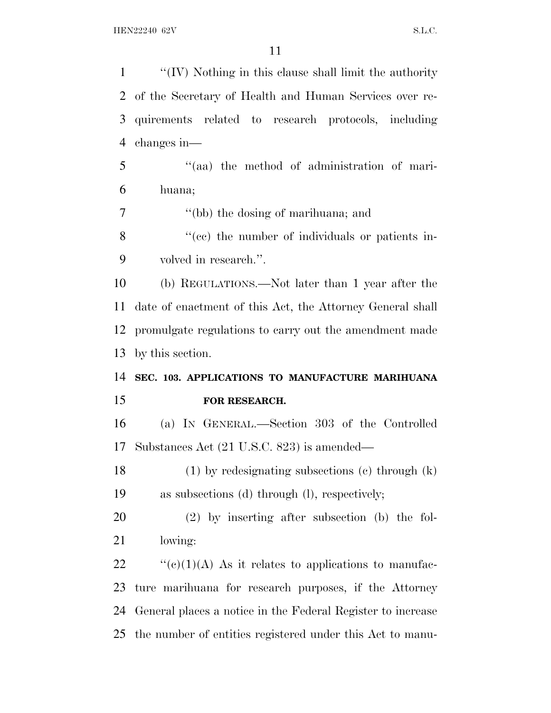| $\mathbf{1}$   | " $(IV)$ Nothing in this clause shall limit the authority   |
|----------------|-------------------------------------------------------------|
| 2              | of the Secretary of Health and Human Services over re-      |
| 3              | quirements related to research protocols, including         |
| $\overline{4}$ | changes in-                                                 |
| 5              | "(aa) the method of administration of mari-                 |
| 6              | huana;                                                      |
| 7              | "(bb) the dosing of marihuana; and                          |
| 8              | "(cc) the number of individuals or patients in-             |
| 9              | volved in research.".                                       |
| 10             | (b) REGULATIONS.—Not later than 1 year after the            |
| 11             | date of enactment of this Act, the Attorney General shall   |
| 12             | promulgate regulations to carry out the amendment made      |
| 13             | by this section.                                            |
| 14             | SEC. 103. APPLICATIONS TO MANUFACTURE MARIHUANA             |
| 15             | FOR RESEARCH.                                               |
| 16             | (a) IN GENERAL.—Section 303 of the Controlled               |
| 17             | Substances Act (21 U.S.C. 823) is amended—                  |
| 18             | $(1)$ by redesignating subsections $(e)$ through $(k)$      |
| 19             | as subsections (d) through (l), respectively;               |
| 20             | $(2)$ by inserting after subsection (b) the fol-            |
| 21             | lowing:                                                     |
| 22             | " $(e)(1)(A)$ As it relates to applications to manufac-     |
| 23             | ture marihuana for research purposes, if the Attorney       |
| 24             |                                                             |
|                | General places a notice in the Federal Register to increase |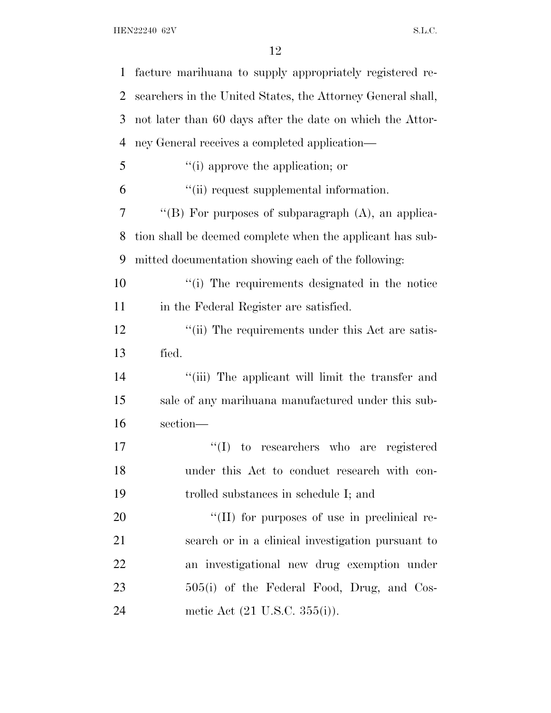| $\mathbf 1$ | facture marihuana to supply appropriately registered re-    |
|-------------|-------------------------------------------------------------|
| 2           | searchers in the United States, the Attorney General shall, |
| 3           | not later than 60 days after the date on which the Attor-   |
| 4           | ney General receives a completed application-               |
| 5           | "(i) approve the application; or                            |
| 6           | "(ii) request supplemental information.                     |
| 7           | "(B) For purposes of subparagraph (A), an applica-          |
| 8           | tion shall be deemed complete when the applicant has sub-   |
| 9           | mitted documentation showing each of the following:         |
| 10          | "(i) The requirements designated in the notice              |
| 11          | in the Federal Register are satisfied.                      |
| 12          | "(ii) The requirements under this Act are satis-            |
| 13          | fied.                                                       |
| 14          | "(iii) The applicant will limit the transfer and            |
| 15          | sale of any marihuana manufactured under this sub-          |
| 16          | section-                                                    |
| 17          | $\lq\lq (I)$<br>to researchers who are<br>registered        |
| 18          | under this Act to conduct research with con-                |
| 19          | trolled substances in schedule I; and                       |
| 20          | "(II) for purposes of use in preclinical re-                |
| 21          | search or in a clinical investigation pursuant to           |
| 22          | an investigational new drug exemption under                 |
| 23          | 505(i) of the Federal Food, Drug, and Cos-                  |
| 24          | metic Act (21 U.S.C. 355(i)).                               |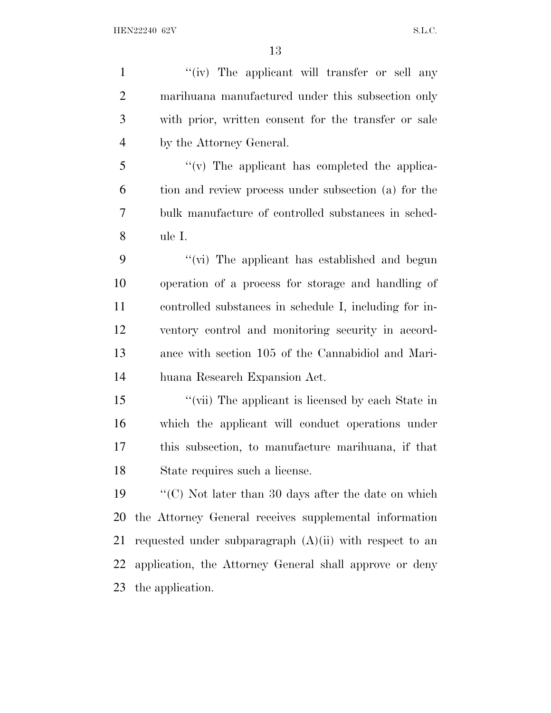1 ''(iv) The applicant will transfer or sell any marihuana manufactured under this subsection only with prior, written consent for the transfer or sale by the Attorney General. ''(v) The applicant has completed the applica-

 tion and review process under subsection (a) for the bulk manufacture of controlled substances in sched-ule I.

 ''(vi) The applicant has established and begun operation of a process for storage and handling of controlled substances in schedule I, including for in- ventory control and monitoring security in accord- ance with section 105 of the Cannabidiol and Mari-huana Research Expansion Act.

 ''(vii) The applicant is licensed by each State in which the applicant will conduct operations under this subsection, to manufacture marihuana, if that State requires such a license.

 ''(C) Not later than 30 days after the date on which the Attorney General receives supplemental information 21 requested under subparagraph  $(A)(ii)$  with respect to an application, the Attorney General shall approve or deny the application.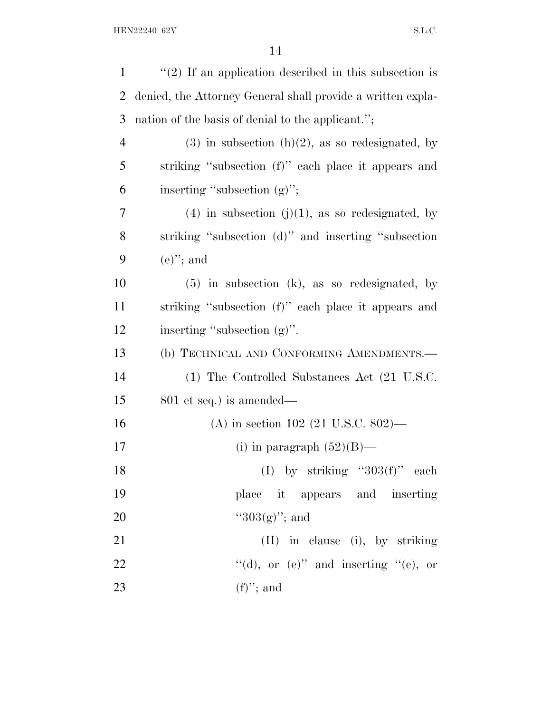| $\mathbf{1}$   | $\lq(2)$ If an application described in this subsection is  |
|----------------|-------------------------------------------------------------|
| $\overline{2}$ | denied, the Attorney General shall provide a written expla- |
| 3              | nation of the basis of denial to the applicant.";           |
| $\overline{4}$ | $(3)$ in subsection $(h)(2)$ , as so redesignated, by       |
| 5              | striking "subsection (f)" each place it appears and         |
| 6              | inserting "subsection (g)";                                 |
| 7              | $(4)$ in subsection $(j)(1)$ , as so redesignated, by       |
| 8              | striking "subsection (d)" and inserting "subsection         |
| 9              | $(e)$ "; and                                                |
| 10             | $(5)$ in subsection $(k)$ , as so redesignated, by          |
| 11             | striking "subsection (f)" each place it appears and         |
| 12             | inserting "subsection (g)".                                 |
| 13             | (b) TECHNICAL AND CONFORMING AMENDMENTS.-                   |
| 14             | (1) The Controlled Substances Act (21 U.S.C.                |
| 15             | $801$ et seq.) is amended—                                  |
| 16             | (A) in section 102 (21 U.S.C. 802)—                         |
| 17             | (i) in paragraph $(52)(B)$ —                                |
| 18             | (I) by striking " $303(f)$ " each                           |
| 19             | place it appears and inserting                              |
| 20             | " $303(g)$ "; and                                           |
| 21             | (II) in clause (i), by striking                             |
| 22             | "(d), or $(e)$ " and inserting "(e), or                     |
| 23             | $(f)$ "; and                                                |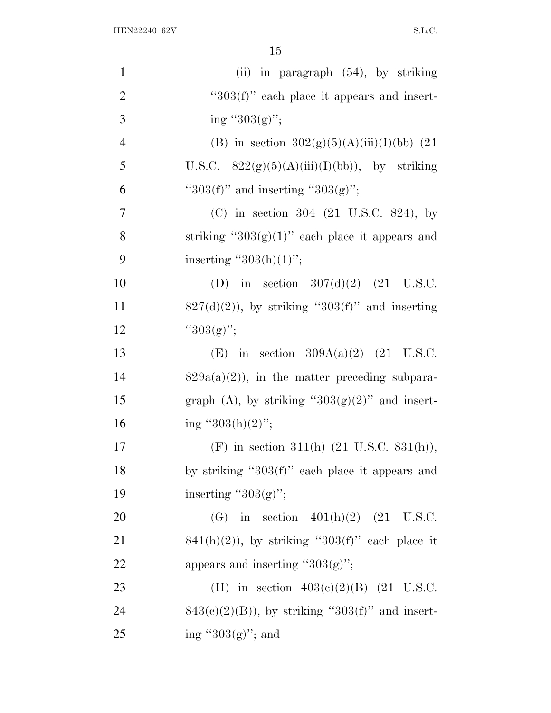| $\mathbf{1}$   | (ii) in paragraph $(54)$ , by striking               |
|----------------|------------------------------------------------------|
| $\overline{2}$ | " $303(f)$ " each place it appears and insert-       |
| 3              | ing " $303(g)$ ";                                    |
| $\overline{4}$ | (B) in section $302(g)(5)(A)(iii)(I)(bb)$ (21        |
| 5              | U.S.C. $822(g)(5)(A)(iii)(I)(bb)$ , by striking      |
| 6              | " $303(f)$ " and inserting " $303(g)$ ";             |
| $\tau$         | (C) in section $304$ (21 U.S.C. 824), by             |
| 8              | striking " $303(g)(1)$ " each place it appears and   |
| 9              | inserting " $303(h)(1)$ ";                           |
| 10             | (D) in section $307(d)(2)$ (21 U.S.C.                |
| 11             | $827(d)(2)$ , by striking "303(f)" and inserting     |
| 12             | " $303(g)$ ";                                        |
| 13             | (E) in section $309A(a)(2)$ (21 U.S.C.               |
| 14             | $829a(a)(2)$ , in the matter preceding subpara-      |
| 15             | graph (A), by striking " $303(g)(2)$ " and insert-   |
| 16             | ing "303(h)(2)";                                     |
| 17             | (F) in section 311(h) $(21 \text{ U.S.C. } 831(h)),$ |
| 18             | by striking " $303(f)$ " each place it appears and   |
| 19             | inserting " $303(g)$ ";                              |
| 20             | (G) in section $401(h)(2)$ (21 U.S.C.                |
| 21             | $841(h)(2)$ , by striking "303(f)" each place it     |
| 22             | appears and inserting " $303(g)$ ";                  |
| 23             | (H) in section $403(c)(2)(B)$ (21 U.S.C.             |
| 24             | $843(c)(2)(B)$ , by striking "303(f)" and insert-    |
| 25             | ing " $303(g)$ "; and                                |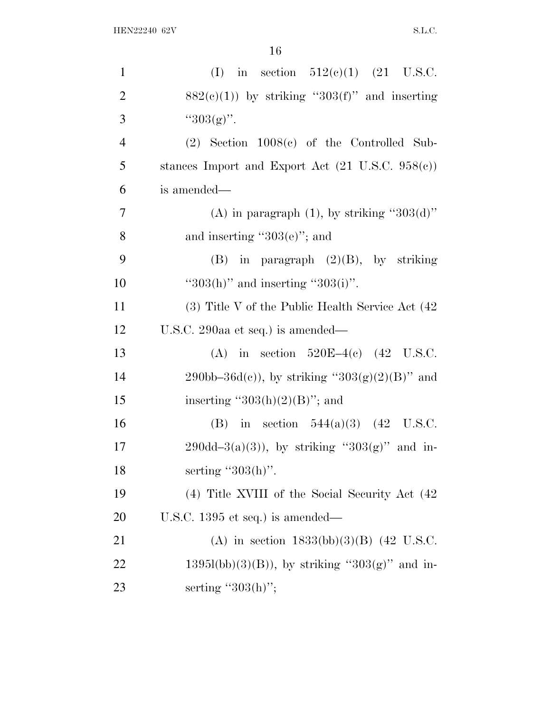| $\mathbf{1}$   | (I) in section $512(e)(1)$ (21 U.S.C.                       |
|----------------|-------------------------------------------------------------|
| $\overline{2}$ | $882(c)(1)$ ) by striking "303(f)" and inserting            |
| 3              | " $303(g)$ ".                                               |
| $\overline{4}$ | $(2)$ Section 1008 $(e)$ of the Controlled Sub-             |
| 5              | stances Import and Export Act $(21 \text{ U.S.C. } 958(e))$ |
| 6              | is amended—                                                 |
| $\overline{7}$ | (A) in paragraph $(1)$ , by striking "303(d)"               |
| 8              | and inserting " $303(e)$ "; and                             |
| 9              | (B) in paragraph $(2)(B)$ , by striking                     |
| 10             | " $303(h)$ " and inserting " $303(i)$ ".                    |
| 11             | $(3)$ Title V of the Public Health Service Act $(42)$       |
| 12             | U.S.C. 290aa et seq.) is amended—                           |
| 13             | (A) in section $520E-4(c)$ (42 U.S.C.                       |
| 14             | 290bb–36d(c)), by striking "303(g)(2)(B)" and               |
| 15             | inserting " $303(h)(2)(B)$ "; and                           |
| 16             | (B) in section $544(a)(3)$ (42 U.S.C.                       |
| 17             | $290d-d-3(a)(3)$ , by striking "303(g)" and in-             |
| 18             | serting " $303(h)$ ".                                       |
| 19             | (4) Title XVIII of the Social Security Act (42)             |
| <b>20</b>      | U.S.C. $1395$ et seq.) is amended—                          |
| 21             | (A) in section $1833(bb)(3)(B)$ (42 U.S.C.                  |
| 22             | $1395l(bb)(3)(B)$ , by striking "303(g)" and in-            |
| 23             | serting " $303(h)$ ";                                       |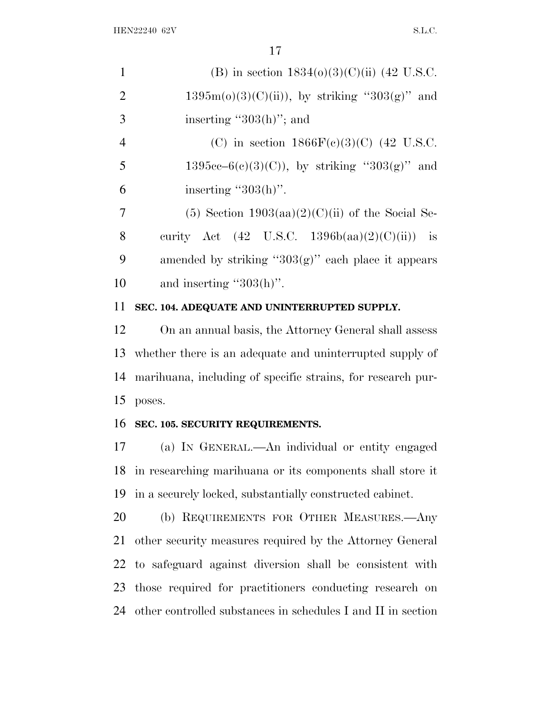| $\mathbf{1}$   | (B) in section $1834(0)(3)(C)(ii)$ (42 U.S.C.            |
|----------------|----------------------------------------------------------|
| 2              | $1395m(o)(3)(C(ii))$ , by striking "303(g)" and          |
| 3              | inserting " $303(h)$ "; and                              |
| $\overline{4}$ | (C) in section $1866F(c)(3)(C)$ (42 U.S.C.               |
| 5              | $1395cc-6(c)(3)(C)$ , by striking "303(g)" and           |
| 6              | inserting " $303(h)$ ".                                  |
| 7              | (5) Section $1903(aa)(2)(C)(ii)$ of the Social Se-       |
| 8              | curity Act $(42 \text{ U.S.C. } 1396b(aa)(2)(C)(ii))$ is |
| 9              | amended by striking " $303(g)$ " each place it appears   |
| 10             | and inserting " $303(h)$ ".                              |
|                |                                                          |

## **SEC. 104. ADEQUATE AND UNINTERRUPTED SUPPLY.**

 On an annual basis, the Attorney General shall assess whether there is an adequate and uninterrupted supply of marihuana, including of specific strains, for research pur-poses.

#### **SEC. 105. SECURITY REQUIREMENTS.**

 (a) I<sup>N</sup> GENERAL.—An individual or entity engaged in researching marihuana or its components shall store it in a securely locked, substantially constructed cabinet.

 (b) REQUIREMENTS FOR OTHER MEASURES.—Any other security measures required by the Attorney General to safeguard against diversion shall be consistent with those required for practitioners conducting research on other controlled substances in schedules I and II in section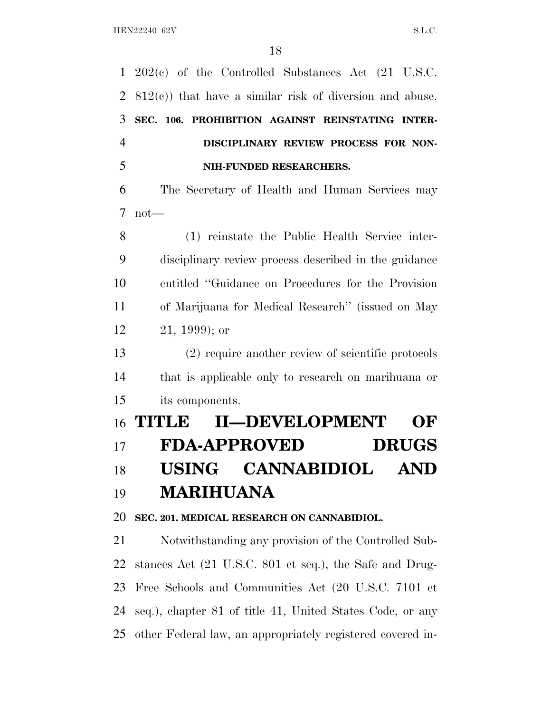202(c) of the Controlled Substances Act (21 U.S.C. 812(c)) that have a similar risk of diversion and abuse. **SEC. 106. PROHIBITION AGAINST REINSTATING INTER- DISCIPLINARY REVIEW PROCESS FOR NON- NIH-FUNDED RESEARCHERS.** The Secretary of Health and Human Services may not— (1) reinstate the Public Health Service inter- disciplinary review process described in the guidance entitled ''Guidance on Procedures for the Provision of Marijuana for Medical Research'' (issued on May 21, 1999); or (2) require another review of scientific protocols that is applicable only to research on marihuana or its components. **TITLE II—DEVELOPMENT OF FDA-APPROVED DRUGS USING CANNABIDIOL AND MARIHUANA**

**SEC. 201. MEDICAL RESEARCH ON CANNABIDIOL.**

 Notwithstanding any provision of the Controlled Sub- stances Act (21 U.S.C. 801 et seq.), the Safe and Drug- Free Schools and Communities Act (20 U.S.C. 7101 et seq.), chapter 81 of title 41, United States Code, or any other Federal law, an appropriately registered covered in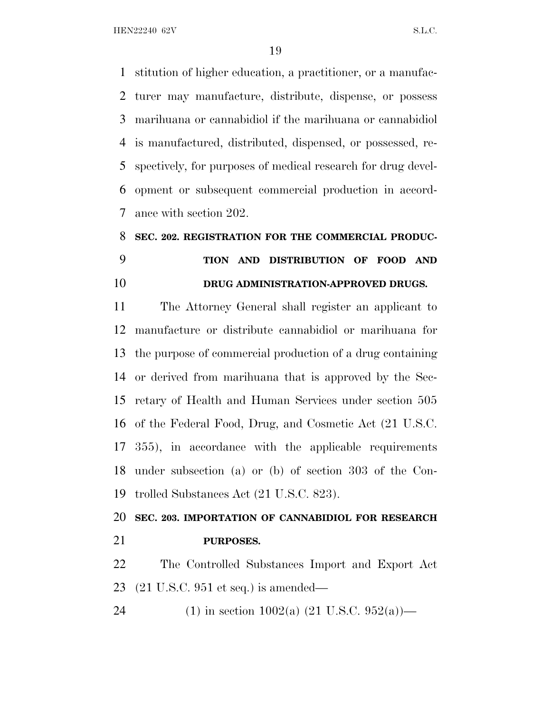HEN22240 62V S.L.C.

 stitution of higher education, a practitioner, or a manufac- turer may manufacture, distribute, dispense, or possess marihuana or cannabidiol if the marihuana or cannabidiol is manufactured, distributed, dispensed, or possessed, re- spectively, for purposes of medical research for drug devel- opment or subsequent commercial production in accord-ance with section 202.

# **SEC. 202. REGISTRATION FOR THE COMMERCIAL PRODUC- TION AND DISTRIBUTION OF FOOD AND DRUG ADMINISTRATION-APPROVED DRUGS.**

 The Attorney General shall register an applicant to manufacture or distribute cannabidiol or marihuana for the purpose of commercial production of a drug containing or derived from marihuana that is approved by the Sec- retary of Health and Human Services under section 505 of the Federal Food, Drug, and Cosmetic Act (21 U.S.C. 355), in accordance with the applicable requirements under subsection (a) or (b) of section 303 of the Con-trolled Substances Act (21 U.S.C. 823).

 **SEC. 203. IMPORTATION OF CANNABIDIOL FOR RESEARCH PURPOSES.**

 The Controlled Substances Import and Export Act (21 U.S.C. 951 et seq.) is amended—

24 (1) in section 1002(a)  $(21 \text{ U.S.C. } 952(a))$ —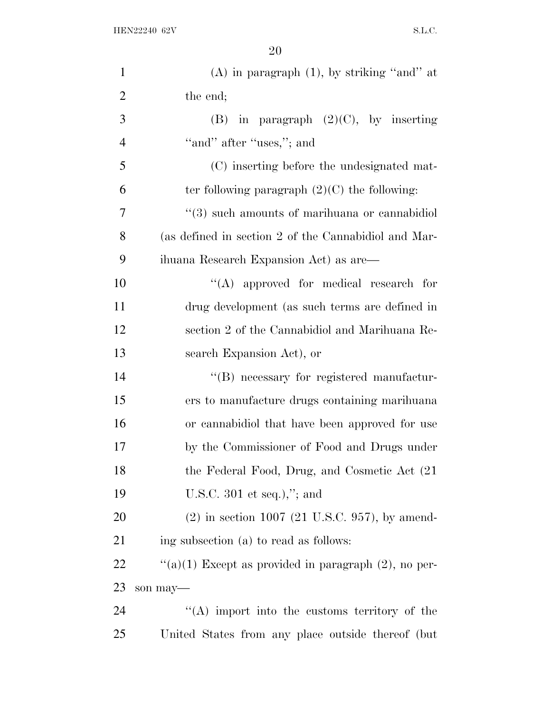| $\mathbf{1}$   | $(A)$ in paragraph $(1)$ , by striking "and" at              |
|----------------|--------------------------------------------------------------|
| $\overline{2}$ | the end;                                                     |
| 3              | (B) in paragraph $(2)(C)$ , by inserting                     |
| $\overline{4}$ | "and" after "uses,"; and                                     |
| 5              | (C) inserting before the undesignated mat-                   |
| 6              | ter following paragraph $(2)(C)$ the following:              |
| 7              | $\cdot\cdot$ (3) such amounts of marihuana or cannabidiol    |
| 8              | (as defined in section 2 of the Cannabidiol and Mar-         |
| 9              | ihuana Research Expansion Act) as are—                       |
| 10             | "(A) approved for medical research for                       |
| 11             | drug development (as such terms are defined in               |
| 12             | section 2 of the Cannabidiol and Marihuana Re-               |
| 13             | search Expansion Act), or                                    |
| 14             | "(B) necessary for registered manufactur-                    |
| 15             | ers to manufacture drugs containing marihuana                |
| 16             | or cannabidiol that have been approved for use               |
| 17             | by the Commissioner of Food and Drugs under                  |
| 18             | the Federal Food, Drug, and Cosmetic Act (21)                |
| 19             | U.S.C. 301 et seq.),"; and                                   |
| 20             | $(2)$ in section 1007 $(21 \text{ U.S.C. } 957)$ , by amend- |
| 21             | ing subsection (a) to read as follows:                       |
| 22             | "(a)(1) Except as provided in paragraph $(2)$ , no per-      |
| 23             | son may-                                                     |
| 24             | "(A) import into the customs territory of the                |
| 25             | United States from any place outside thereof (but            |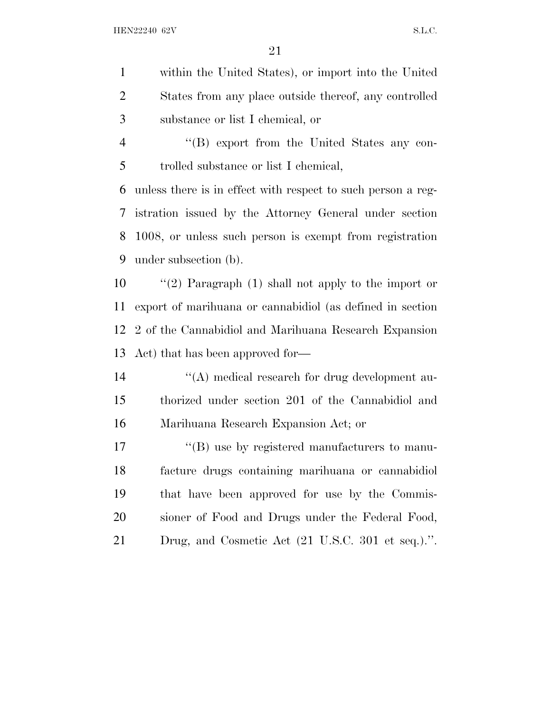- within the United States), or import into the United States from any place outside thereof, any controlled substance or list I chemical, or
- ''(B) export from the United States any con-trolled substance or list I chemical,

 unless there is in effect with respect to such person a reg- istration issued by the Attorney General under section 1008, or unless such person is exempt from registration under subsection (b).

 ''(2) Paragraph (1) shall not apply to the import or export of marihuana or cannabidiol (as defined in section 2 of the Cannabidiol and Marihuana Research Expansion Act) that has been approved for—

14  $\langle (A) \rangle$  medical research for drug development au- thorized under section 201 of the Cannabidiol and Marihuana Research Expansion Act; or

17 <sup>"</sup>(B) use by registered manufacturers to manu- facture drugs containing marihuana or cannabidiol that have been approved for use by the Commis- sioner of Food and Drugs under the Federal Food, Drug, and Cosmetic Act (21 U.S.C. 301 et seq.).''.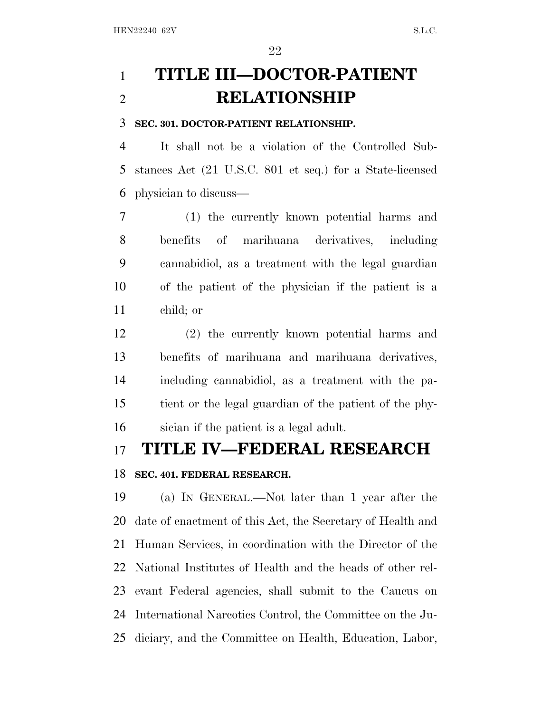# **TITLE III—DOCTOR-PATIENT RELATIONSHIP**

#### **SEC. 301. DOCTOR-PATIENT RELATIONSHIP.**

 It shall not be a violation of the Controlled Sub- stances Act (21 U.S.C. 801 et seq.) for a State-licensed physician to discuss—

 (1) the currently known potential harms and benefits of marihuana derivatives, including cannabidiol, as a treatment with the legal guardian of the patient of the physician if the patient is a child; or

 (2) the currently known potential harms and benefits of marihuana and marihuana derivatives, including cannabidiol, as a treatment with the pa- tient or the legal guardian of the patient of the phy-sician if the patient is a legal adult.

# **TITLE IV—FEDERAL RESEARCH**

### **SEC. 401. FEDERAL RESEARCH.**

 (a) I<sup>N</sup> GENERAL.—Not later than 1 year after the date of enactment of this Act, the Secretary of Health and Human Services, in coordination with the Director of the National Institutes of Health and the heads of other rel- evant Federal agencies, shall submit to the Caucus on International Narcotics Control, the Committee on the Ju-diciary, and the Committee on Health, Education, Labor,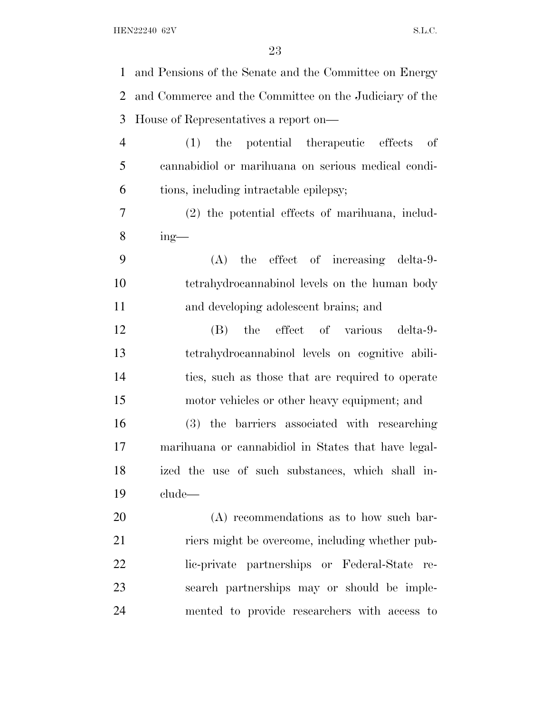and Pensions of the Senate and the Committee on Energy and Commerce and the Committee on the Judiciary of the House of Representatives a report on— (1) the potential therapeutic effects of cannabidiol or marihuana on serious medical condi- tions, including intractable epilepsy; (2) the potential effects of marihuana, includ- $8 \quad \text{ing}$ — (A) the effect of increasing delta-9- tetrahydrocannabinol levels on the human body and developing adolescent brains; and (B) the effect of various delta-9- tetrahydrocannabinol levels on cognitive abili- ties, such as those that are required to operate motor vehicles or other heavy equipment; and (3) the barriers associated with researching marihuana or cannabidiol in States that have legal- ized the use of such substances, which shall in- clude— (A) recommendations as to how such bar- riers might be overcome, including whether pub- lic-private partnerships or Federal-State re- search partnerships may or should be imple-mented to provide researchers with access to